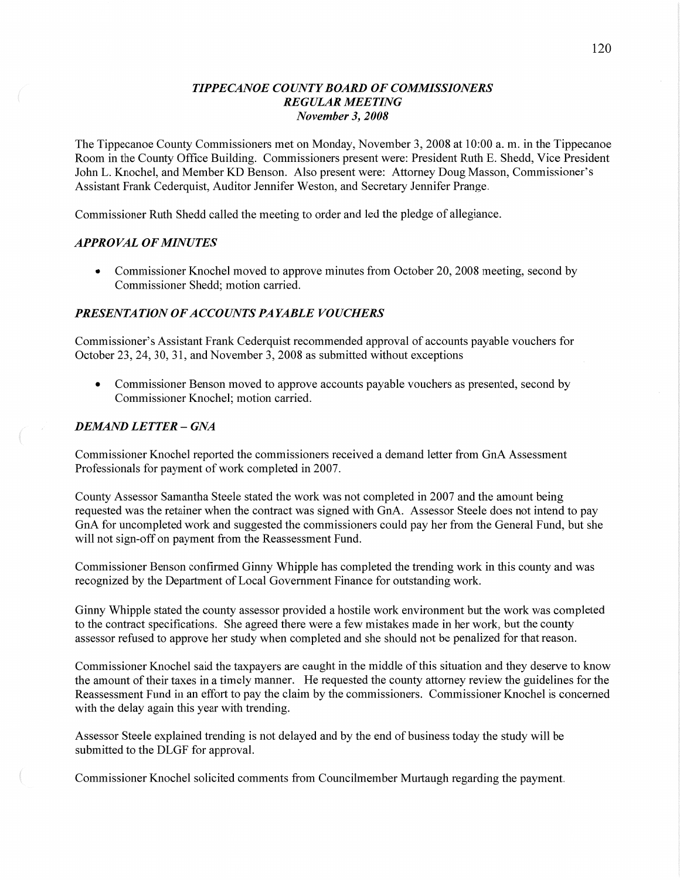### *TIPPECANOE COUNTY BOARD* OF *COMMISSIONERS REGULAR MEETING November* 3, *2008*

The Tippecanoe County Commissioners met on Monday, November 3, 2008 at 10:00 a. m. in the Tippecanoe Room in the County **Office** Building. Commissioners present were: President Ruth B. Shedd, **Vice** President John L. Knochel, and Member KD Benson. Also present were: Attorney Doug Masson, Commissioner's Assistant Frank Cederquist, Auditor Jennifer Weston, and Secretary Jennifer Prange.

Commissioner Ruth Shedd called the meeting to order and led the pledge of allegiance.

### *APPROVAL* OF *MINUTES*

• Commissioner Knochel moved to approve minutes from October 20, 2008 meeting, second by Commissioner Shedd; motion carried.

#### **PRESENTATION OF ACCOUNTS PAYABLE VOUCHERS**

Commissioner's Assistant Frank Cederquist recommended approval of accounts payable vouchers for October 23, 24, 30, 31, and November 3, 2008 as submitted without exceptions

**0** Commissioner Benson moved to approve accounts payable vouchers as presented, second by Commissioner Knochel; motion carried.

#### *DEMAND LETTER* **—** GNA

Commissioner Knochel reported the commissioners received **a** demand letter from GnA Assessment Professionals for payment of work completed in 2007.

County Assessor Samantha Steele stated the work was not completed in 2007 and the amount being requested was the retainer when the contract was signed with GnA. Assessor Steele does not intend to pay GnA for uncompleted work and suggested the commissioners could pay her from the General Fund, but she will not sign-off on payment from the Reassessment Fund.

Commissioner Benson confirmed Ginny Whipple has completed the trending work in this county and was recognized by the Department of Local Government Finance for outstanding work.

Ginny Whipple stated the county assessor provided a hostile work environment but the work was completed to the contract specifications. She agreed there were a few mistakes made in her work, but the county assessor refused to approve her study when completed and she should not be penalized for **that** reason.

Commissioner Knochel said the taxpayers are caught in the middle of this situation and they deserve to know the amount of their taxes in a timely manner. He requested the county attorney review the guidelines for the Reassessment Fund in an effort to pay the claim by the commissioners. Commissioner Knochel is concerned with the delay again this year with trending.

Assessor Steele explained trending is not delayed and by the end of business today the study will be submitted to the DLGF for approval.

Commissioner Knochel solicited comments from Councilmember Muttaugh regarding the payment.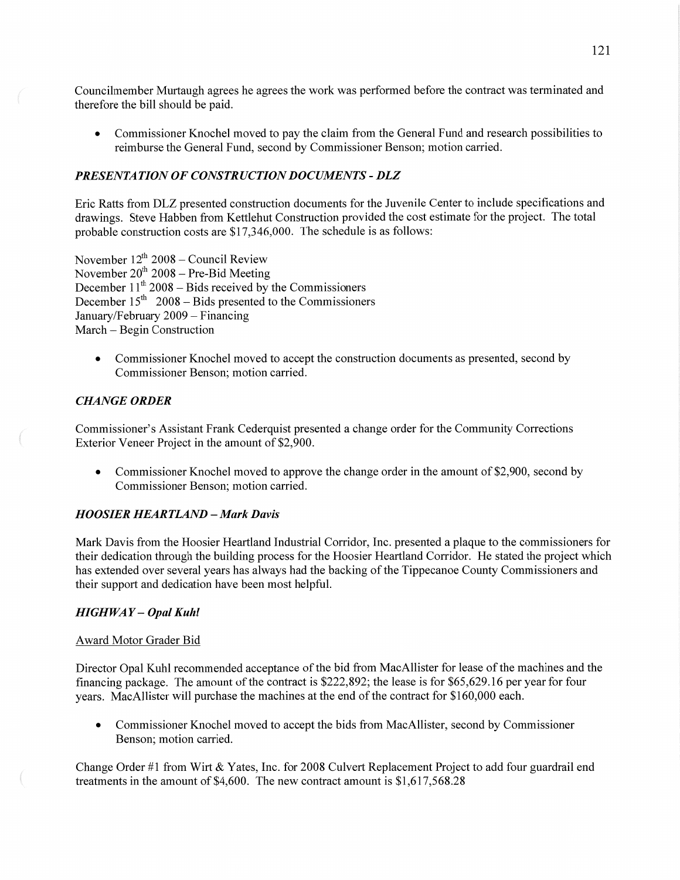Councilmember Murtaugh agrees he agrees the work was performed before the contract was terminated and therefore the bill should be paid.

**0** Commissioner Knochel moved to pay the claim from the General Fund and research possibilities to reimburse the General Fund, second by Commissioner Benson; motion carried.

### *PRESENTATION* OF *CONSTR UCTION DOCUMENTS* **-** DLZ

Eric Ratts from DLZ presented construction documents for the Juvenile Center to include specifications and drawings. Steve Habben from Kettlehut Construction provided the cost estimate for the project. The total probable construction costs are \$17,346,000. The schedule is as follows:

November  $12^{th}$  2008 – Council Review November  $20^{th}$  2008 – Pre-Bid Meeting December 11<sup>th</sup> 2008 – Bids received by the Commissioners December 15<sup>th</sup> 2008 – Bids presented to the Commissioners January/February 2009 – Financing March – Begin Construction

**0** Commissioner Knochel moved to accept the construction documents as presented, second by Commissioner Benson; motion carried.

#### **CHANGE ORDER**

Commissioner's Assistant Frank Cederquist presented a change order for the Community Corrections Exterior Veneer Project in the amount of \$2,900.

• Commissioner Knochel moved to approve the change order in the amount of \$2,900, second by Commissioner Benson; motion carried.

#### **HOOSIER HEARTLAND - Mark Davis**

Mark Davis from the Hoosier Heartland Industrial Corridor, Inc. presented a plaque to the commissioners for their dedication through the building process for the Hoosier Heartland Corridor. He stated the project which has extended over several years has always had the backing of the Tippecanoe County Commissioners and their support and dedication have been most helpful.

#### *HIGHWAY — Opal Kuhl*

#### Award Motor Grader Bid

Director Opal Kuhl recommended acceptance of the bid from MacAllister for lease of the machines and the financing package. The amount of the contract is \$222,892; the lease is for \$65,629.16 per year for four years. MacAllister will purchase the machines at the end of the contract for \$160,000 each.

**0** Commissioner Knochel moved to accept the bids from MacAllister, second by Commissioner Benson; motion carried.

Change Order #1 from Wirt & Yates, Inc. for 2008 Culvert Replacement Project to add four guardrail end treatments in the amount of \$4,600. The new contract amount is \$1,617,568.28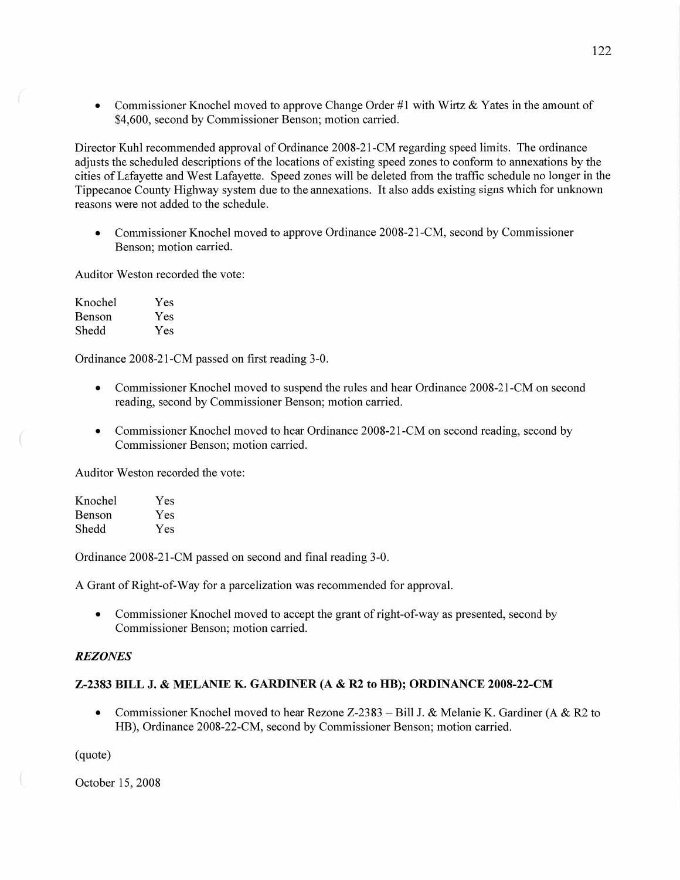**0** Commissioner Knochel moved to approve Change Order #1 with Wirtz **&** Yates in the amount of \$4,600, second by Commissioner Benson; motion carried.

Director Kuhl recommended approval of Ordinance 2008—21-CM regarding speed limits. The ordinance adjusts the scheduled descriptions of the locations of existing speed zones to conform to annexations by the cities of Lafayette and West Lafayette. Speed zones will be deleted from the traffic schedule no longer in the Tippecanoe County Highway system due to the annexations. It also adds existing signs which for unknown reasons were not added to the schedule.

• Commissioner Knochel moved to approve Ordinance 2008-21-CM, second by Commissioner Benson; motion carried.

Auditor Weston recorded the vote:

| Knochel | Yes |
|---------|-----|
| Benson  | Yes |
| Shedd   | Yes |

Ordinance 2008-21—CM passed on first reading 3-0.

- **0** Commissioner Knochel moved to suspend the rules and hear Ordinance 2008-21-CM on second reading, second by Commissioner Benson; motion carried.
- Commissioner Knochel moved to hear Ordinance 2008-21-CM on second reading, second by Commissioner Benson; motion carried.

Auditor Weston recorded the vote:

| Knochel | Yes |
|---------|-----|
| Benson  | Yes |
| Shedd   | Yes |

Ordinance 2008-21-CM passed on second and final reading 3-0.

**A** Grant of Right-of-Way for **a** parcelization was recommended for approval.

• Commissioner Knochel moved to accept the grant of right-of-way as presented, second by Commissioner Benson; motion carried.

### *REZONES*

### **Z-2383 BILL** J. **& NIELANIE** K. **GARDINER** (A **&** R2 to **HR); ORDINANCE 2008—22-CM**

**0** Commissioner Knochel moved to hear Rezone Z-23 83 **—** Bill J. & Melanie K. Gardiner (A & R2 to HB), Ordinance 2008-22—CM, second by Commissioner Benson; motion carried.

(quote)

October 15, 2008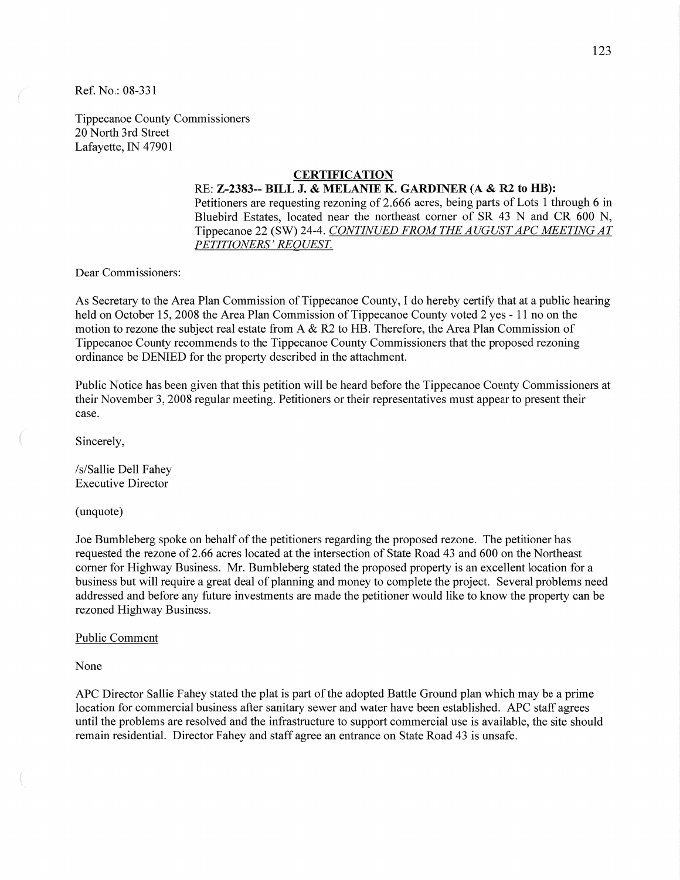Ref. No.: 08-331

Tippecanoe County Commissioners 20 North 3rd Street Lafayette, IN 47901

## **CERTIFICATION**

RE: **Z-2383-- BILL** J. **& MELANIE** K. **GARDINER** (A *&* R2 to **BB):**  Petitioners are requesting rezoning of 2.666 acres, being parts of Lots 1 through 6 in Bluebird Estates, located near the northeast corner of SR 43 N and CR 600 N, Tippecanoe 22 (SW) 24-4. *CONTINUED FROM* THE *AUGUST* APC *MEETING* AT PE *TITIONERS' REQUEST.* 

Dear Commissioners:

As Secretary to the Area Plan Commission of Tippecanoe County, I do hereby certify that at a public hearing held on October 15, 2008 the Area Plan Commission of Tippecanoe County voted 2 yes *-* 11 no on the motion to rezone the subject real estate from **A** & R2 to HB. Therefore, the Area Plan Commission of Tippecanoe County recommends to the Tippecanoe County Commissioners that the proposed rezoning ordinance be DENIED for the property described in the attachment.

Public Notice has been given that this petition will be heard before the Tippecanoe County Commissioners at their November 3, 2008 regular meeting. Petitioners or their representatives must appear to present their case.

Sincerely,

/s/ Sallie Dell Fahey Executive Director

(unquote)

Joe Bumbleberg spoke on behalf of the petitioners regarding the proposed rezone. The petitioner has requested the rezone of 2.66 acres located at the intersection of State Road 43 and 600 on the Northeast corner for Highway Business. Mr. Bumbleberg stated the proposed property is an excellent location for a business but will require **a** great deal of planning and money to complete the project. Several problems need addressed and before any future investments are made the petitioner would like to know the property can be rezoned Highway Business.

#### Public Comment

None

APC Director Sallie Fahey stated the plat is part of the adopted Battle Ground plan which may be a prime location for commercial business after sanitary sewer and water have been established. APC staff agrees until the problems are resolved and the infrastructure to support commercial use is available, the site should remain residential. Director Fahey and staff agree an entrance on State Road 43 is unsafe.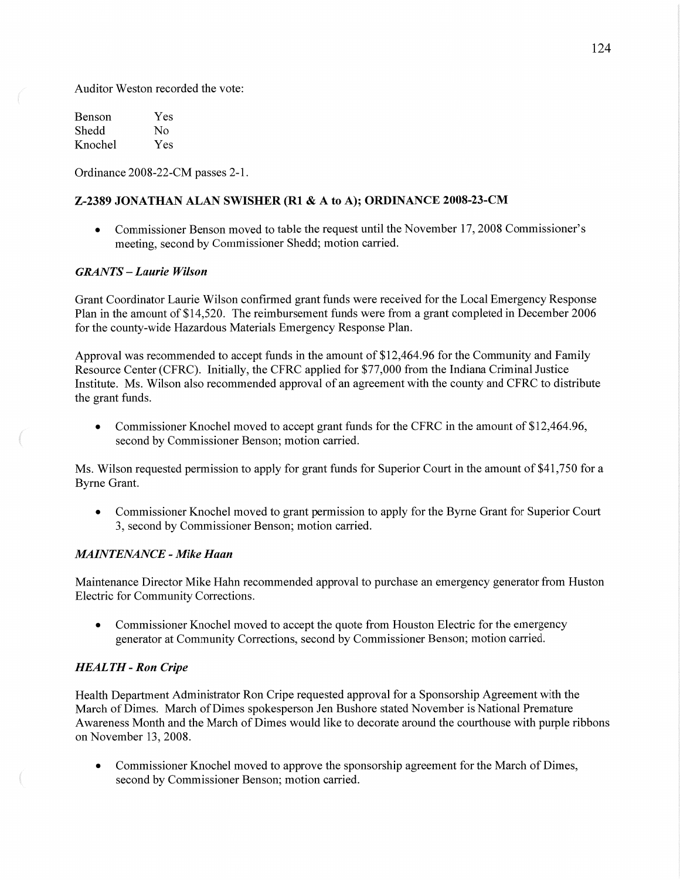Auditor Weston recorded the vote:

Benson Yes Shedd No Knochel Yes

Ordinance 2008-22—CM passes 2-1.

#### **Z-2389 JONATHAN ALAN SWISHER** (R1 **& A** to A); **ORDlNAN** CE **2008-23—CM**

• Commissioner Benson moved to table the request until the November 17, 2008 Commissioner's meeting, second by Commissioner Shedd; motion carried.

### *GRANTS* **—** *Laurie Wilson*

Grant Coordinator Laurie Wilson confirmed grant **funds** were received for the Local Emergency Response Plan in the amount of \$14,520. The reimbursement funds were from a grant completed in December 2006 for the county—wide Hazardous Materials Emergency Response Plan.

Approval was recommended to accept finds in the amount of \$12,464.96 for the Community and Family Resource Center (CFRC). Initially, the CFRC applied for \$77,000 from the Indiana Criminal Justice Institute. Ms. Wilson also recommended approval of an agreement with the county and CFRC to distribute the grant funds.

**0** Commissioner Knochel moved to accept grant funds for the CFRC in the amount of \$12,464.96, second by Commissioner Benson; motion carried.

Ms. Wilson requested permission to apply for grant funds for Superior Court in the amount of \$41,750 for a Byrne Grant.

**0** Commissioner Knochel moved to grant permission to apply for the Byrne Grant for Superior Court 3, second by Commissioner Benson; motion carried.

#### *MAINTENANCE - Mike Haan*

Maintenance Director Mike Hahn recommended approval to purchase an emergency generator from Huston Electric for Community Corrections.

• Commissioner Knochel moved to accept the quote from Houston Electric for the emergency generator at Community Corrections, second by Commissioner Benson; motion carried.

#### *HEALTH -* Ron *Cripe*

 $\overline{a}$ 

Health Department Administrator Ron Cripe requested approval for a Sponsorship Agreement with the March of Dimes. March of Dimes spokesperson Jen Bushore stated November is National Premature Awareness Month and the March of Dimes would like to decorate around the courthouse with purple ribbons on November 13, 2008.

**0** Commissioner Knochel moved to approve the sponsorship agreement for the March of Dimes, second by Commissioner Benson; motion carried.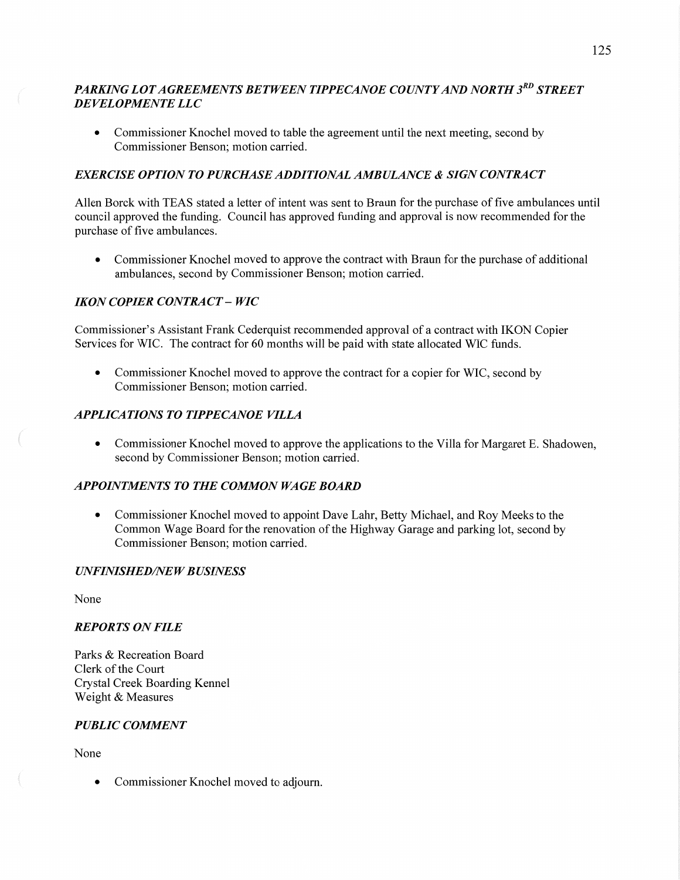# *PARKING LOTAGREEMENTS BETWEEN TIPPECANOE COUNTYAND NORTH* 3RD *STREET*  DE *VELOPMEN T E* LLC

**0** Commissioner Knochel moved to table the agreement until the next meeting, second by Commissioner Benson; motion carried.

### *EXERCISE OPTION* T0 *PURCIL4SE ADDITIONAL AMBULANCE & SIGN CONTRACT*

**Allen** Borck with TEAS stated a letter of intent was sent to Braun for the purchase of five ambulances until council approved the funding. Council has approved funding and approval is now recommended for the purchase of five ambulances.

**0** Commissioner Knochel moved to approve the contract with Braun for the purchase of additional ambulances, second by Commissioner Benson; motion carried.

### *IKON COPIER CONTRACT* **—** WIC

Commissioner's Assistant Frank Cederquist recommended approval of a contract with IKON Copier Services for WIC. The contract for 60 months will be paid with state allocated WIC funds.

**0** Commissioner Knochel moved to approve the contract for <sup>a</sup>copier for WIC, second by Commissioner Benson; motion carried.

#### *APPLICATIONS TO TIPPECANOE VILLA*

**0** Commissioner Knochel moved to approve the applications to the Villa for Margaret E. Shadowen, second by Commissioner Benson; motion carried.

# *APPOINTMENTS* TO THE *COMMON* WA GE *BOARD*

**0** Commissioner Knochel moved to appoint Dave **Lahr,** Betty Michael, and Roy Meeks to the Common Wage Board for the renovation of the Highway Garage and parking lot, second by Commissioner Benson; motion carried.

#### $UNFINISHED/NEW BUSINESS$

None

#### *REPORTS* ON *FILE*

Parks & Recreation Board Clerk of the Court Crystal Creek Boarding Kennel Weight & Measures

### *PUBLIC COMMENT*

None

**0** Commissioner Knochel moved to adjourn.